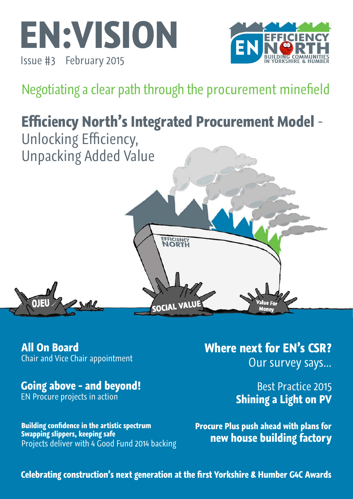



Negotiating a clear path through the procurement minefield

# **Efficiency North's Integrated Procurement Model** - Unlocking Efficiency, Unpacking Added Value EFFICIENCY SOCIAL VALUE **Mone**

**All On Board**  Chair and Vice Chair appointment

**Going above - and beyond!** EN Procure projects in action

**Building confidence in the artistic spectrum Swapping slippers, keeping safe**  Projects deliver with 4 Good Fund 2014 backing

# **Where next for EN's CSR?**  Our survey says...

Best Practice 2015 **Shining a Light on PV** 

**Procure Plus push ahead with plans for new house building factory**

**Celebrating construction's next generation at the first Yorkshire & Humber G4C Awards**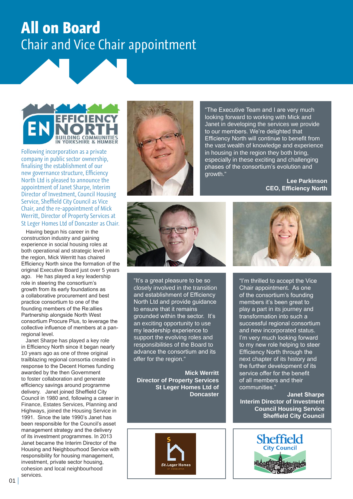# **All on Board**  Chair and Vice Chair appointment



Following incorporation as a private company in public sector ownership, finalising the establishment of our new governance structure, Efficiency North Ltd is pleased to announce the appointment of Janet Sharpe, Interim Director of Investment, Council Housing Service, Sheffield City Council as Vice Chair, and the re-appointment of Mick Werritt, Director of Property Services at St Leger Homes Ltd of Doncaster as Chair.

 Having begun his career in the construction industry and gaining experience in social housing roles at both operational and strategic level in the region, Mick Werritt has chaired Efficiency North since the formation of the original Executive Board just over 5 years ago. He has played a key leadership role in steering the consortium's growth from its early foundations as a collaborative procurement and best practice consortium to one of the founding members of the Re:allies Partnership alongside North West consortium Procure Plus, to leverage the collective influence of members at a panregional level.

 Janet Sharpe has played a key role in Efficiency North since it began nearly 10 years ago as one of three original trailblazing regional consortia created in response to the Decent Homes funding awarded by the then Government to foster collaboration and generate efficiency savings around programme delivery. Janet joined Sheffield City Council in 1980 and, following a career in Finance, Estates Services, Planning and Highways, joined the Housing Service in 1991. Since the late 1990's Janet has been responsible for the Council's asset management strategy and the delivery of its investment programmes. In 2013 Janet became the Interim Director of the Housing and Neighbourhood Service with responsibility for housing management, investment, private sector housing, cohesion and local neighbourhood services.



"The Executive Team and I are very much looking forward to working with Mick and Janet in developing the services we provide to our members. We're delighted that Efficiency North will continue to benefit from the vast wealth of knowledge and experience in housing in the region they both bring, especially in these exciting and challenging phases of the consortium's evolution and growth."

**Lee Parkinson CEO, Efficiency North**



"It's a great pleasure to be so closely involved in the transition and establishment of Efficiency North Ltd and provide quidance to ensure that it remains grounded within the sector. It's an exciting opportunity to use my leadership experience to support the evolving roles and responsibilities of the Board to advance the consortium and its offer for the region."

**Mick Werritt Director of Property Services St Leger Homes Ltd of Doncaster**





"I'm thrilled to accept the Vice Chair appointment. As one of the consortium's founding members it's been great to play a part in its journey and transformation into such a successful regional consortium and new incorporated status. I'm very much looking forward to my new role helping to steer Efficiency North through the next chapter of its history and the further development of its service offer for the benefit of all members and their communities."

**Janet Sharpe Interim Director of Investment Council Housing Service Sheffield City Council**

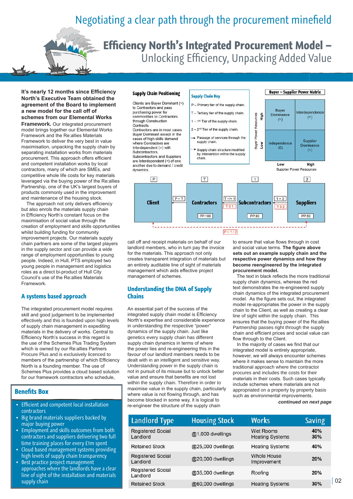# Negotiating a clear path through the procurement minefield

**Efficiency North's Integrated Procurement Model –**  Unlocking Efficiency, Unpacking Added Value

**It's nearly 12 months since Efficiency North's Executive Team obtained the agreement of the Board to implement a new model for the call off of schemes from our Elemental Works** 

**Framework.** Our integrated procurement model brings together our Elemental Works Framework and the Re:allies Materials Framework to deliver the very best in value maximisation, unpacking the supply chain by separating installation works from materials procurement. This approach offers efficient and competent installation works by local contractors, many of which are SMEs, and competitive whole life costs for key materials leveraged via the buying power of the Re:allies Partnership, one of the UK's largest buyers of products commonly used in the improvement and maintenance of the housing stock.

 The approach not only delivers efficiency but also enrols the materials supply chain in Efficiency North's constant focus on the maximisation of social value through the creation of employment and skills opportunities whilst building funding for community improvement projects. Our materials supply chain partners are some of the largest players in the supply sector and can provide a wide range of employment opportunities to young people. Indeed, in Hull, PTS employed two young people in management and logistics roles as a direct bi-product of Hull City Council's use of the Re:allies Materials Framework.

#### **A systems based approach**

The integrated procurement model requires skill and good judgement to be implemented effectively and this is founded upon high levels of supply chain management in expediting materials in the delivery of works. Central to Efficiency North's success in this regard is the use of the Schemes Plus Trading System which is owned by our Re:allies Partners Procure Plus and is exclusively licenced to members of the partnership of which Efficiency North is a founding member. The use of Schemes Plus provides a cloud based solution for our framework contractors who schedule,

#### **Benefits Box**

- **Efficient and competent local installation** contractors
- Big brand materials suppliers backed by major buying power
- Employment and skills outcomes from both contractors and suppliers delivering two full time training places for every £1m spent
- Cloud based management systems providing high levels of supply chain transparency
- Best practice project management approaches where the landlords have a clear line of sight of the installation and materials supply chain

#### **Supply Chain Positioning**



 $P > 1/2$ 

call off and receipt materials on behalf of our landlord members, who in turn pay the invoice for the materials. This approach not only

creates transparent integration of materials but an entirely auditable line of sight of materials management which aids effective project

**Understanding the DNA of Supply** 

An essential part of the success of the integrated supply chain model is Efficiency North's expertise and considerable experience in understanding the respective "power" dynamics of the supply chain. Just like genetics every supply chain has different supply chain dynamics in terms of where the power lies and re-engineering this in the favour of our landlord members needs to be dealt with in an intelligent and sensitive way. Understanding power in the supply chain is not in pursuit of its misuse but to unlock better value and ensure that benefits are not lost within the supply chain. Therefore in order to maximise value in the supply chain, particularly where value is not flowing through, and has become blocked in some way, it is logical to re-engineer the structure of the supply chain

management of schemes.

**Chains**

to ensure that value flows through in cost and social value terms. **The figure above sets out an example supply chain and the respective power dynamics and how they become reengineered by the integrated procurement model.**

**Buyer - Supplier Power Matrix** 

 The text in black reflects the more traditional supply chain dynamics, whereas the red text demonstrates the re-engineered supply chain dynamics of the integrated procurement model. As the figure sets out, the integrated model re-appropriates the power in the supply chain to the Client, as well as creating a clear line of sight within the supply chain. This ensures that the buying power of the Re:allies Partnership passes right through the supply chain and efficient prices and social value can flow through to the Client.

 In the majority of cases we find that our integrated model is entirely appropriate, however, we will always encounter schemes where it makes sense to maintain the more traditional approach where the contractor procures and includes the costs for their materials in their costs. Such cases typically include schemes where materials are not appropriated on a property by property basis such as environmental improvements.

#### *continued on next page*

| <b>Landlord Type</b>                 | <b>Housing Stock</b> | <b>Works</b>                               | <b>Saving</b> |
|--------------------------------------|----------------------|--------------------------------------------|---------------|
| <b>Registered Social</b><br>Landlord | @1,000 dwellings     | <b>Wet Rooms</b><br><b>Heating Systems</b> | 40%<br>30%    |
| <b>Retained Stock</b>                | @25,000 dwellings    | <b>Heating Systems</b>                     | 40%           |
| <b>Registered Social</b><br>Landlord | @20,000 dwellings    | <b>Whole House</b><br>Improvement          | 20%           |
| <b>Registered Social</b><br>Landlord | @35,000 dwellings    | Roofing                                    | 20%           |
| Retained Stock                       | @60,000 dwellings    | <b>Heating Systems</b>                     | 30%           |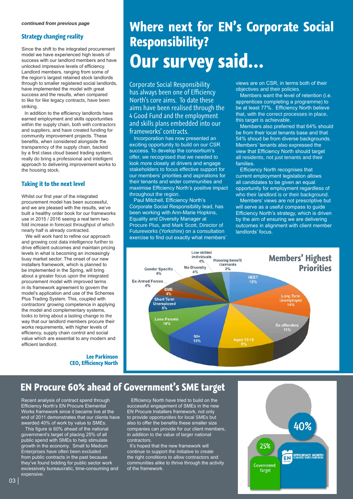#### **Strategy changing reality**

Since the shift to the integrated procurement model we have experienced high levels of success with our landlord members and have unlocked impressive levels of efficiency. Landlord members, ranging from some of the region's largest retained stock landlords through to smaller registered social landlords, have implemented the model with great success and the results, when compared to like for like legacy contracts, have been striking.

 In addition to the efficiency landlords have earned employment and skills opportunities within the supply chain, both with contractors and suppliers, and have created funding for community improvement projects. These benefits, when considered alongside the transparency of the supply chain, backed by a first class cloud based trading system, really do bring a professional and intelligent approach to delivering improvement works to the housing stock.

#### **Taking it to the next level**

Whilst our first year of the integrated procurement model has been successful, and we are pleased with the results, we've built a healthy order book for our frameworks use in 2015 / 2016 seeing a real term two fold increase in forecast throughput of which nearly half is already contracted.

 We will work hard to refine our approach and growing cost data intelligence further to drive efficient outcomes and maintain pricing levels in what is becoming an increasingly busy market sector. The onset of our new installers framework, which is planned to be implemented in the Spring, will bring about a greater focus upon the integrated procurement model with improved terms in its framework agreement to govern the model's application and use of the Schemes Plus Trading System. This, coupled with contractors' growing competence in applying the model and complementary systems, looks to bring about a lasting change to the way that our landlord members procure their works requirements, with higher levels of efficiency, supply chain control and social value which are essential to any modern and efficient landlord.

> **Lee Parkinson CEO, Efficiency North**

# **Where next for EN's Corporate Social Responsibility? Our survey said...**

Corporate Social Responsibility has always been one of Efficiency North's core aims. To date these aims have been realised through the 4 Good Fund and the employment and skills plans embedded into our frameworks' contracts.

 Incorporation has now presented an exciting opportunity to build on our CSR success. To develop the consortium's offer, we recognised that we needed to look more closely at drivers and engage stakeholders to focus effective support for our members' priorities and aspirations for their tenants and wider communities and maximise Efficiency North's positive impact throughout the region.

 Paul Mitchell, Efficiency North's Corporate Social Responsibility lead, has been working with Ann-Marie Hopkins, Equality and Diversity Manager at Procure Plus, and Mark Scott, Director of Futureworks (Yorkshire) on a consultation exercise to find out exactly what members'

views are on CSR, in terms both of their objectives and their policies.

 Members want the level of retention (i.e. apprentices completing a programme) to be at least 77%. Efficiency North believe that, with the correct processes in place, this target is achievable.

 Members also preferred that 64% should be from their local tenants base and that 54% shoud be from diverse backgrounds. Members' tenants also expressed the view that Efficiency North should target all residents, not just tenants and their families.

 Efficiency North recognises that current employment legislation allows all candidates to be given an equal opportunity for employment regardless of who their landlord is or their background.

 Members' views are not prescriptive but will serve as a useful compass to guide Efficiency North's strategy, which is driven by the aim of ensuring we are delivering outcomes in alignment with client member landlords' focus.



### **EN Procure 60% ahead of Government's SME target**

Recent analysis of contract spend through Efficiency North's EN Procure Elemental Works framework since it became live at the end of 2011 demonstrates that our clients have awarded 40% of work by value to SMEs.

 This figure is 60% ahead of the national government's target of placing 25% of all public spend with SMEs to help stimulate growth in the economy. Small to Medium Enterprises have often been excluded from public contracts in the past because they've found bidding for public sector work excessively bureaucratic, time-consuming and expensive.

 Efficiency North have tried to build on the successful engagement of SMEs in the new EN Procure Installers framework, not only to provide opportunities for local SMEs but also to offer the benefits these smaller size companies can provide for our client members, in addition to the value of larger national contractors.

It's hoped that the new framework will continue to support the initiative to create the right conditions to allow contractors and communities alike to thrive through the activity of the framework.

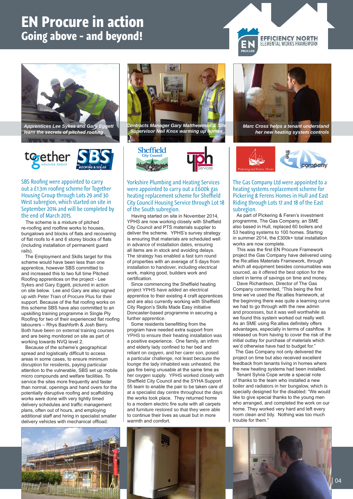# **EN Procure in action Going above - and beyond!**



*learn the secrets of pitched roofing*



SBS Roofing were appointed to carry out a £1.3m roofing scheme for Together Housing Group through Lots 29 and 30 West subregion, which started on site in September 2014 and will be completed by the end of March 2015.

 The scheme is a mixture of pitched re-roofing and roofline works to houses, bungalows and blocks of flats and recovering of flat roofs to 4 and 6 storey blocks of flats (including installation of permanent guard rails).

 The Employment and Skills target for this scheme would have been less than one apprentice, however SBS committed to and increased this to two full time Pitched Roofing apprentices on the project - Lee Sykes and Gary Eggett, pictured in action on site below. Lee and Gary are also signed up with Peter Train of Procure Plus for their support. Because of the flat roofing works on this scheme SBS have also committed to an upskilling training programme in Single Ply Roofing for two of their experienced flat roofing labourers – Rhys Bashforth & Josh Berry. Both have been on external training courses and are being monitored on site as part of working towards NVQ level 2.

 Because of the scheme's geographical spread and logistically difficult to access areas in some cases, to ensure minimum disruption for residents, paying particular attention to the vulnerable, SBS set up mobile micro compounds and welfare facilities. To service the sites more frequently and faster than normal, openings and hand overs for the potentially disruptive roofing and scaffolding works were done with very tightly timed delivery schedules and traffic management plans, often out of hours, and employing additional staff and hiring in specialist smaller delivery vehicles with mechanical offload.



*Contracts Manager Gary Matthewman & Site Supervisor Neil Knox warming up homes* 





Yorkshire Plumbing and Heating Services were appointed to carry out a £600k gas heating replacement scheme for Sheffield City Council Housing Service through Lot 18 of the South subregion.

 Having started on site in November 2014, YPHS are now working closely with Sheffield City Council and PTS materials supplier to deliver the scheme. YPHS's survey strategy is ensuring that materials are scheduled well in advance of installation dates, ensuring all items are in stock and avoiding delays. The strategy has enabled a fast turn round of properties with an average of 5 days from installation to handover, including electrical work, making good, builders work and certification.

 Since commencing the Sheffield heating project YPHS have added an electrical apprentice to their existing 4 craft apprentices and are also currently working with Sheffield City Region's Skills Made Easy initiative Doncaster-based programme in securing a further apprentice.

 Some residents benefitting from the program have needed extra support from YPHS to ensure their heating installation was a positive experience. One family, an infirm and elderly lady confined to her bed and reliant on oxgyen, and her carer son, posed a particular challenge, not least because the lounge the lady inhabited was unheated, the gas fire being unusable at the same time as her oxygen supply. YPHS worked closely with Sheffield City Council and the SYHA Support 55 team to enable the pair to be taken care of at a specialist day centre throughout the days the works took place. They returned home to a modern electric fire suite with all carpets and furniture restored so that they were able to continue their lives as usual but in more warmth and comfort.



**EFFICIENCY NORTH** ELEMENTAL WORKS FRAMEWORK

*Marc Cross helps a tenant understand her new heating system controls*



The Gas Company Ltd were appointed to a heating systems replacement scheme for Pickering & Ferens Homes in Hull and East Riding through Lots 17 and 18 of the East subregion.

 As part of Pickering & Feren's investment programme, The Gas Company, an SME also based in Hull, replaced 60 boilers and 53 heating systems to 100 homes. Starting in summer 2014, the £300k+ total installation works are now complete.

 This was the first EN Procure Framework project the Gas Company have delivered using the Re:allies Materials Framework, through which all equipment besides consumables was sourced, as it offered the best option for the client in terms of savings on time and money.

 Dave Richardson, Director of The Gas Company commented, "This being the first time we've used the Re:allies framework, at the beginning there was quite a learning curve we had to go through with the new admin and processes, but it was well worthwhile as we found this system worked out really well. As an SME using Re:allies definitely offers advantages, especially in terms of cashflow. It released us from having to cover the risk of the initial outlay for purchase of materials which we'd otherwise have had to budget for."

 The Gas Company not only delivered the project on time but also received excellent feedback from tenants living in homes where the new heating systems had been installed.

 Tenant Sylvia Cope wrote a special note of thanks to the team who installed a new boiler and radiators in her bungalow, which is specially designed for the disabled: "We would like to give special thanks to the young men who arranged, and completed the work on our home. They worked very hard and left every room clean and tidy. Nothing was too much trouble for them."



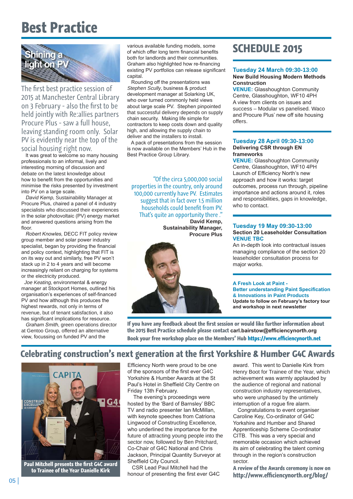# **Best Practice**



The first best practice session of 2015 at Manchester Central Library on 3 February - also the first to be held jointly with Re:allies partners Procure Plus - saw a full house, leaving standing room only. Solar PV is evidently near the top of the social housing right now.

 It was great to welcome so many housing professionals to an informal, lively and interesting morning of discussion and debate on the latest knowledge about how to benefit from the opportunities and minimise the risks presented by investment into PV on a large scale.

 David Kemp, Sustainability Manager at Procure Plus, chaired a panel of 4 industry specialists who discussed their experiences in the solar photovoltaic (PV) energy market and answered questions arising from the floor

 Robert Knowles, DECC FIT policy review group member and solar power industry specialist, began by providing the financial and policy context, highlighting that FIT is on its way out and similarly, free PV won't stack up in 2 to 4 years and will become increasingly reliant on charging for systems or the electricity produced.

 Joe Keating, environmental & energy manager at Stockport Homes, outlined his organisation's experiences of self-financed PV and how although this produces the highest rewards, not only in terms of revenue, but of tenant satisfaction, it also has significant implications for resource.

 Graham Smith, green operations director at Gentoo Group, offered an alternative view, focussing on funded PV and the

various available funding models, some of which offer long term financial benefits both for landlords and their communities. Graham also highlighted how re-financing existing PV portfolios can release significant capital.

 Rounding off the presentations was Stephen Scully, business & product development manager at Solarking UK, who over turned commonly held views about large scale PV. Stephen pinpointed that successful delivery depends on supply chain security. Making life simple for contractors to keep costs down and quality high, and allowing the supply chain to deliver and the installers to install.

 A pack of presentations from the session is now available on the Members' Hub in the Best Practice Group Library.

"Of the circa 5,000,000 social properties in the country, only around 100,000 currently have PV. Estimates suggest that in fact over 1.5 million households could benefit from PV. That's quite an opportunity there ."

**David Kemp, Sustainability Manager, Procure Plus**



### **SCHEDULE 2015**

#### **Tuesday 24 March 09:30-13:00 New Build Housing Modern Methods Construction**

**VENUE:** Glasshoughton Community Centre, Glasshoughton, WF10 4PH A view from clients on issues and success – Modular vs panelised. Waco and Procure Plus' new off site housing offers.

#### **Tuesday 28 April 09:30-13:00 Delivering CSR through EN frameworks**

**VENUE:** Glasshoughton Community Centre, Glasshoughton, WF10 4PH Launch of Efficiency North's new approach and how it works: target outcomes, process run through, pipeline importance and actions around it, roles and responsibilities, gaps in knowledge, who to contact.

#### **Tuesday 19 May 09:30-13:00 Section 20 Leaseholder Consultation VENUE TBC**

An in-depth look into contractual issues managing compliance of the section 20 leaseholder consultation process for major works.

#### **A Fresh Look at Paint -**

**Better understanding Paint Specification & Innovations in Paint Products Update to follow on February's factory tour and workshop in next newsletter**

**If you have any feedback about the first session or would like further information about the 2015 Best Practice schedule please contact carl.bairstow@efficiencynorth.org Book your free workshop place on the Members' Hub https://www.efficiencynorth.net** 

### **Celebrating construction's next generation at the first Yorkshire & Humber G4C Awards**



**Paul Mitchell presents the first G4C award to Trainee of the Year Danielle Kirk**

Efficiency North were proud to be one of the sponsors of the first ever G4C Yorkshire & Humber Awards at the St Paul's Hotel in Sheffield City Centre on Friday 13th February.

 The evening's proceedings were hosted by the 'Bard of Barnsley' BBC TV and radio presenter Ian McMillan, with keynote speeches from Catriona Lingwood of Constructing Excellence, who underlined the importance for the future of attracting young people into the sector now, followed by Ben Pritchard, Co-Chair of G4C National and Chris Jackson, Principal Quantity Surveyor at Sheffield City Council.

 CSR Lead Paul Mitchell had the honour of presenting the first ever G4C award. This went to Danielle Kirk from Henry Boot for Trainee of the Year, which achievement was warmly applauded by the audience of regional and national construction industry representatives, who were unphased by the untimely interruption of a rogue fire alarm.

 Congratulations to event organiser Caroline Key, Co-ordinator of G4C Yorkshire and Humber and Shared Apprenticeship Scheme Co-ordinator CITB. This was a very special and memorable occasion which achieved its aim of celebrating the talent coming through in the region's construction sector.

**A review of the Awards ceremony is now on http://www.efficiencynorth.org/blog/**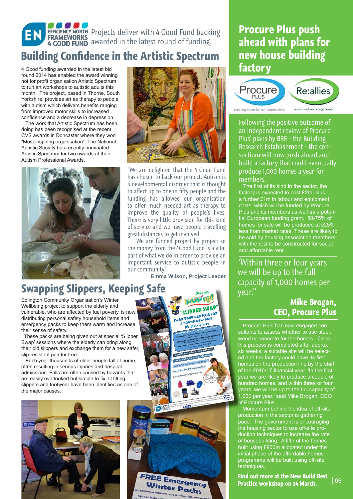# Projects deliver with 4 Good Fund backing awarded in the latest round of funding.

### **Building Confidence in the Artistic Spectrum**

4 Good funding awarded in the latest bid round 2014 has enabled the award winning not for profit organisation Artistic Spectrum to run art workshops to autistic adults this month. The project, based in Thorne, South Yorkshire, provides art as therapy to people with autism which delivers benefits ranging from improved motor skills to increased confidence and a decrease in depression.

 The work that Artistic Spectrum has been doing has been recognised at the recent CVS awards in Doncaster where they won "Most inspiring organisation". The National Autistic Society has recently nominated Artistic Spectrum for two awards at their Autism Professional Awards.



# **Swapping Slippers, Keeping Safe**

Edlington Community Organisation's Winter Wellbeing project to support the elderly and vulnerable, who are affected by fuel poverty, is now distributing personal safety household items and emergency packs to keep them warm and increase their sense of safety.

 These packs are being given out at special 'Slipper Swap' sessions where the elderly can bring along their old slippers and exchange them for a new safer, slip-resistant pair for free.

 Each year thousands of older people fall at home, often resulting in serious injuries and hospital admissions. Falls are often caused by hazards that are easily overlooked but simple to fix. Ill fitting slippers and footwear have been identified as one of the major causes.





"We are delighted that the 4 Good Fund has chosen to back our project. Autism is a developmental disorder that is thought to affect up to one in fifty people and the funding has allowed our organisation to offer much needed art as therapy to improve the quality of people's lives. There is very little provision for this kind of service and we have people travelling great distances to get involved.

 "We are funded project by project so the money from the 4Good Fund is a vital part of what we do in order to provide an important service to autistic people in our community."

**Emma Wilson, Project Leader**





### **Procure Plus push ahead with plans for new house building factory**



Following the positive outcome of an independent review of Procure Plus' plans by BRE - the Building Research Establishment - the consortium will now push ahead and build a factory that could eventually produce 1,000 homes a year for members.

 The first of its kind in the sector, the factory is expected to cost £2m, plus a further £1m in labour and equipment costs, which will be funded by Procure Plus and its members as well as a potential European funding grant. 50-75% of homes for sale will be produced at c25% less than market rates. These are likely to be sold by housing association members, with the rest to be constructed for social and affordable rent.

"Within three or four years we will be up to the full capacity of 1,000 homes per year."

### **Mike Brogan, CEO, Procure Plus**

 Procure Plus has now engaged consultants to assess whether to use steel, wood or concrete for the homes. Once this process is completed after approx six weeks, a suitable site will be selected and the factory could have its first homes on the production line by the start of the 2016/17 financial year. 'In the first year we are likely to produce a couple of hundred homes, and within three or four years, we will be up to the full capacity of 1,000 per year,' said Mike Brogan, CEO of Procure Plus.

 Momentum behind the idea of off-site production in the sector is gathering pace. The government is encouraging the housing sector to use off-site production techniques to increase the rate of housebuilding. A fifth of the homes built using £900m allocated under the initial phase of the affordable homes programme will be built using off-site techniques.

**Find out more at the New Build Best Practice workshop on 24 March.**

| 06